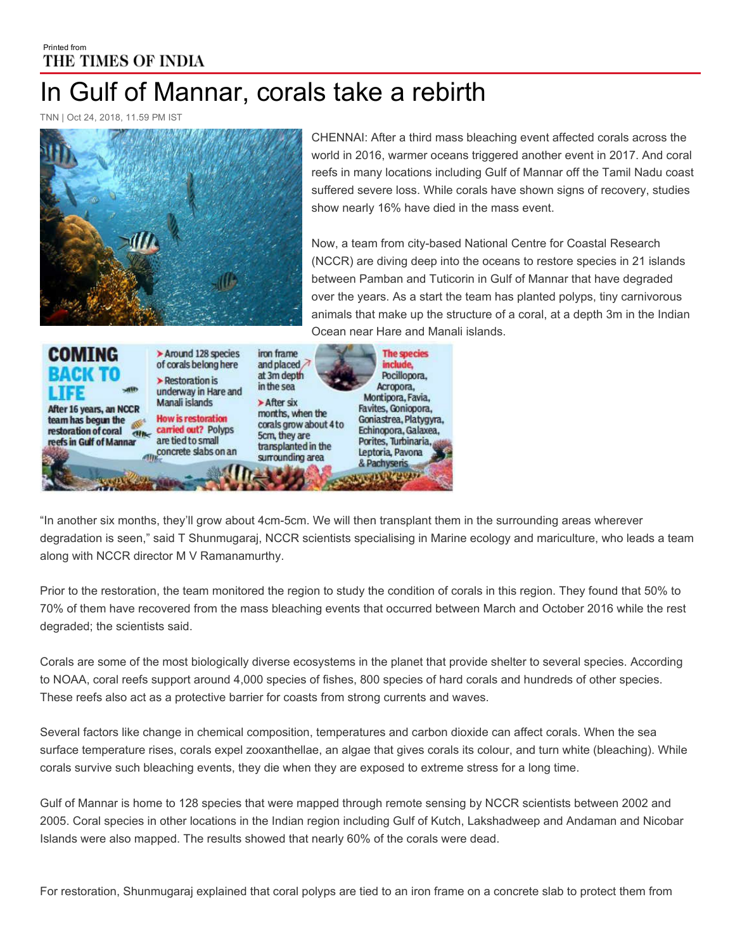## Printed from THE TIMES OF INDIA In Gulf of Mannar, corals take a rebirth

TNN | Oct 24, 2018, 11.59 PM IST



CHENNAI: After a third mass bleaching event affected corals across the world in 2016, warmer oceans triggered another event in 2017. And coral reefs in many locations including Gulf of Mannar off the Tamil Nadu coast suffered severe loss. While corals have shown signs of recovery, studies show nearly 16% have died in the mass event.

Now, a team from city-based National Centre for Coastal Research (NCCR) are diving deep into the oceans to restore species in 21 islands between Pamban and Tuticorin in Gulf of Mannar that have degraded over the years. As a start the team has planted polyps, tiny carnivorous animals that make up the structure of a coral, at a depth 3m in the Indian Ocean near Hare and Manali islands.



"In another six months, they'll grow about 4cm5cm. We will then transplant them in the surrounding areas wherever degradation is seen," said T Shunmugaraj, NCCR scientists specialising in Marine ecology and mariculture, who leads a team along with NCCR director M V Ramanamurthy.

Prior to the restoration, the team monitored the region to study the condition of corals in this region. They found that 50% to 70% of them have recovered from the mass bleaching events that occurred between March and October 2016 while the rest degraded; the scientists said.

Corals are some of the most biologically diverse ecosystems in the planet that provide shelter to several species. According to NOAA, coral reefs support around 4,000 species of fishes, 800 species of hard corals and hundreds of other species. These reefs also act as a protective barrier for coasts from strong currents and waves.

Several factors like change in chemical composition, temperatures and carbon dioxide can affect corals. When the sea surface temperature rises, corals expel zooxanthellae, an algae that gives corals its colour, and turn white (bleaching). While corals survive such bleaching events, they die when they are exposed to extreme stress for a long time.

Gulf of Mannar is home to 128 species that were mapped through remote sensing by NCCR scientists between 2002 and 2005. Coral species in other locations in the Indian region including Gulf of Kutch, Lakshadweep and Andaman and Nicobar Islands were also mapped. The results showed that nearly 60% of the corals were dead.

For restoration, Shunmugaraj explained that coral polyps are tied to an iron frame on a concrete slab to protect them from